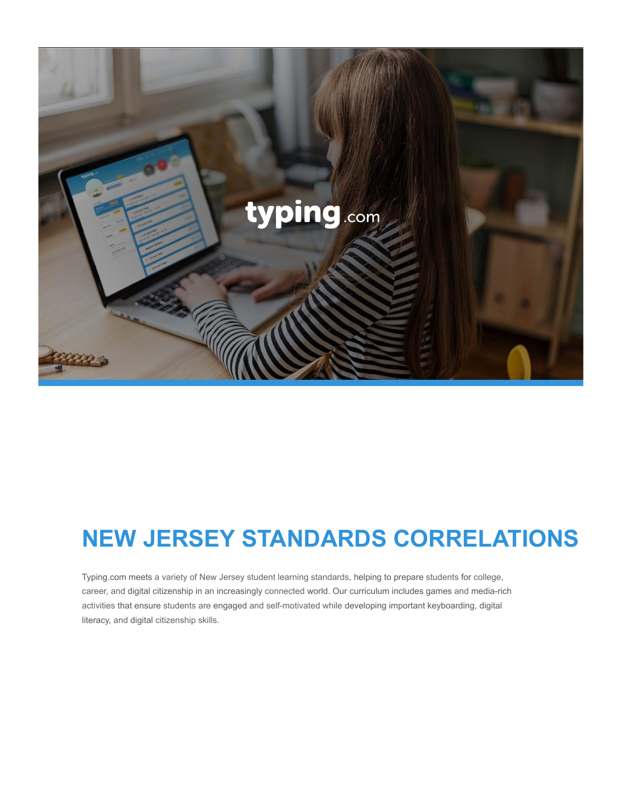

# **NEW JERSEY STANDARDS CORRELATIONS**

Typing.com meets a variety of New Jersey student learning standards, helping to prepare students for college, career, and digital citizenship in an increasingly connected world. Our curriculum includes games and media-rich activities that ensure students are engaged and self-motivated while developing important keyboarding, digital literacy, and digital citizenship skills.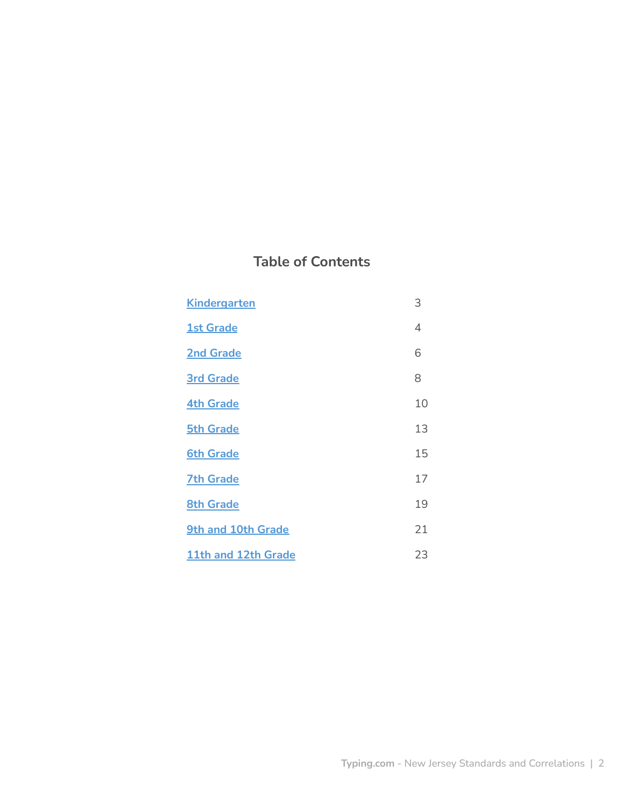# **Table of Contents**

| <b>Kindergarten</b> | 3  |
|---------------------|----|
| <b>1st Grade</b>    | 4  |
| <b>2nd Grade</b>    | 6  |
| <b>3rd Grade</b>    | 8  |
| <b>4th Grade</b>    | 10 |
| <b>5th Grade</b>    | 13 |
| <b>6th Grade</b>    | 15 |
| <b>7th Grade</b>    | 17 |
| <b>8th Grade</b>    | 19 |
| 9th and 10th Grade  | 21 |
| 11th and 12th Grade | 23 |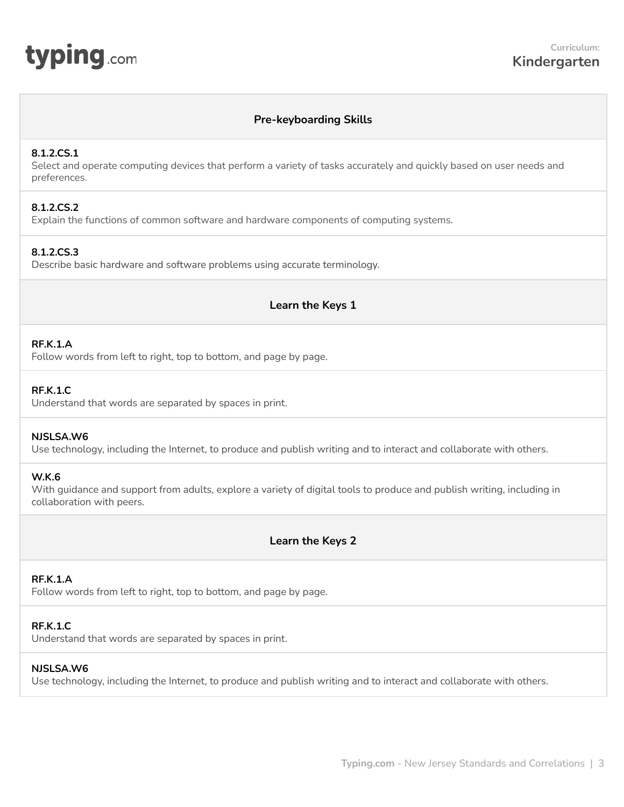# **Pre-keyboarding Skills**

## <span id="page-2-0"></span>**8.1.2.CS.1**

Select and operate computing devices that perform a variety of tasks accurately and quickly based on user needs and preferences.

# **8.1.2.CS.2**

Explain the functions of common software and hardware components of computing systems.

## **8.1.2.CS.3**

Describe basic hardware and software problems using accurate terminology.

## **Learn the Keys 1**

## **RF.K.1.A**

Follow words from left to right, top to bottom, and page by page.

#### **RF.K.1.C**

Understand that words are separated by spaces in print.

#### **NJSLSA.W6**

Use technology, including the Internet, to produce and publish writing and to interact and collaborate with others.

#### **W.K.6**

With guidance and support from adults, explore a variety of digital tools to produce and publish writing, including in collaboration with peers.

# **Learn the Keys 2**

## **RF.K.1.A**

Follow words from left to right, top to bottom, and page by page.

#### **RF.K.1.C**

Understand that words are separated by spaces in print.

#### **NJSLSA.W6**

Use technology, including the Internet, to produce and publish writing and to interact and collaborate with others.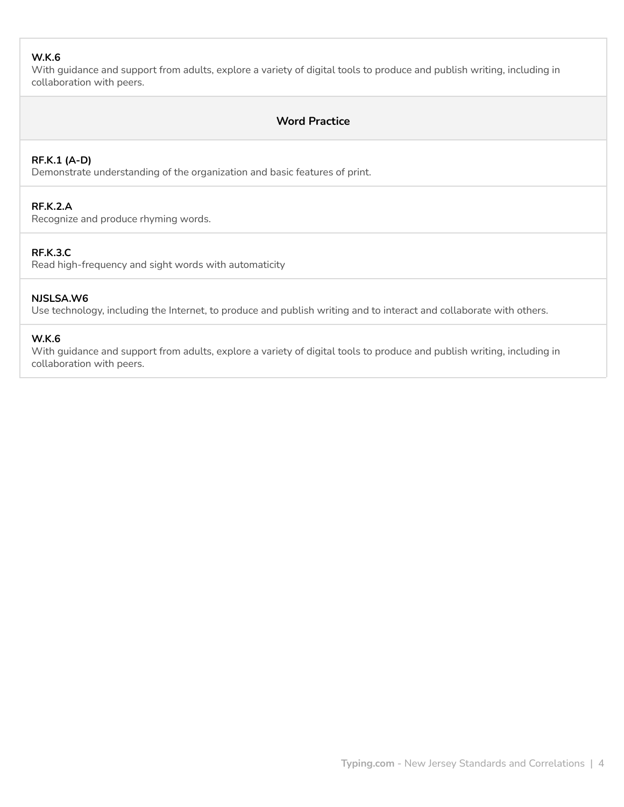## **W.K.6**

With guidance and support from adults, explore a variety of digital tools to produce and publish writing, including in collaboration with peers.

# **Word Practice**

## **RF.K.1 (A-D)**

Demonstrate understanding of the organization and basic features of print.

## **RF.K.2.A**

Recognize and produce rhyming words.

# **RF.K.3.C**

Read high-frequency and sight words with automaticity

#### **NJSLSA.W6**

Use technology, including the Internet, to produce and publish writing and to interact and collaborate with others.

#### **W.K.6**

With guidance and support from adults, explore a variety of digital tools to produce and publish writing, including in collaboration with peers.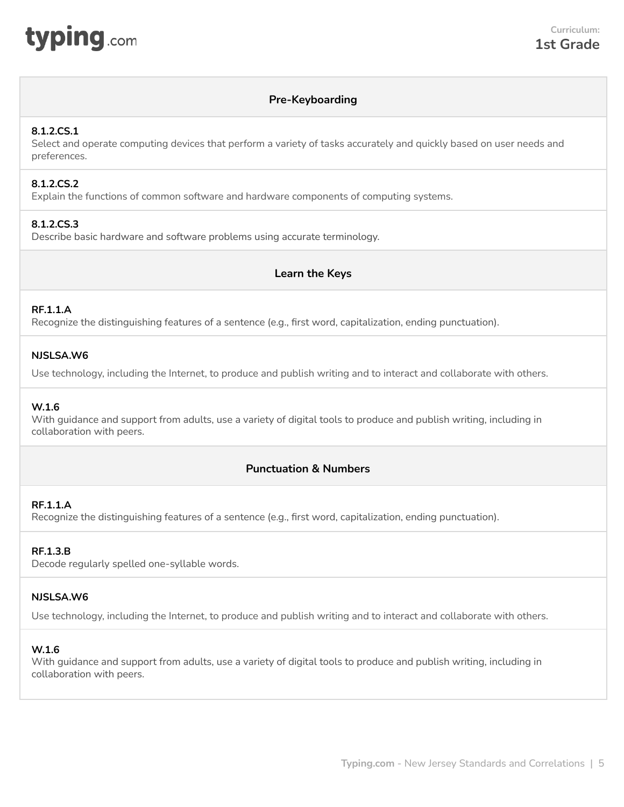<span id="page-4-0"></span>

# **Pre-Keyboarding**

## **8.1.2.CS.1**

Select and operate computing devices that perform a variety of tasks accurately and quickly based on user needs and preferences.

## **8.1.2.CS.2**

Explain the functions of common software and hardware components of computing systems.

## **8.1.2.CS.3**

Describe basic hardware and software problems using accurate terminology.

# **Learn the Keys**

## **RF.1.1.A**

Recognize the distinguishing features of a sentence (e.g., first word, capitalization, ending punctuation).

## **NJSLSA.W6**

Use technology, including the Internet, to produce and publish writing and to interact and collaborate with others.

## **W.1.6**

With guidance and support from adults, use a variety of digital tools to produce and publish writing, including in collaboration with peers.

# **Punctuation & Numbers**

## **RF.1.1.A**

Recognize the distinguishing features of a sentence (e.g., first word, capitalization, ending punctuation).

## **RF.1.3.B**

Decode regularly spelled one-syllable words.

## **NJSLSA.W6**

Use technology, including the Internet, to produce and publish writing and to interact and collaborate with others.

## **W.1.6**

With guidance and support from adults, use a variety of digital tools to produce and publish writing, including in collaboration with peers.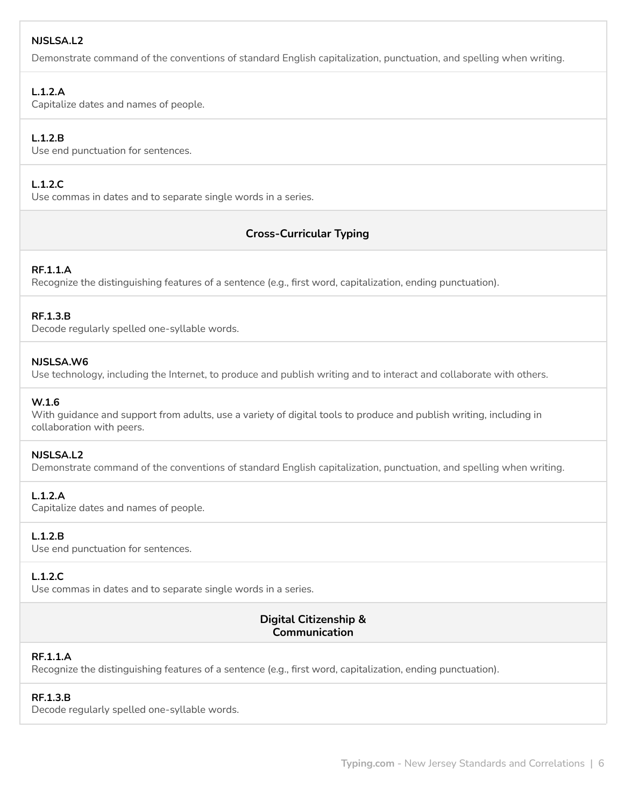## **NJSLSA.L2**

Demonstrate command of the conventions of standard English capitalization, punctuation, and spelling when writing.

## **L.1.2.A**

Capitalize dates and names of people.

# **L.1.2.B**

Use end punctuation for sentences.

# **L.1.2.C**

Use commas in dates and to separate single words in a series.

# **Cross-Curricular Typing**

## **RF.1.1.A**

Recognize the distinguishing features of a sentence (e.g., first word, capitalization, ending punctuation).

## **RF.1.3.B**

Decode regularly spelled one-syllable words.

## **NJSLSA.W6**

Use technology, including the Internet, to produce and publish writing and to interact and collaborate with others.

#### **W.1.6**

With guidance and support from adults, use a variety of digital tools to produce and publish writing, including in collaboration with peers.

## **NJSLSA.L2**

Demonstrate command of the conventions of standard English capitalization, punctuation, and spelling when writing.

## **L.1.2.A**

Capitalize dates and names of people.

## **L.1.2.B**

Use end punctuation for sentences.

## **L.1.2.C**

Use commas in dates and to separate single words in a series.

# **Digital Citizenship & Communication**

# **RF.1.1.A**

Recognize the distinguishing features of a sentence (e.g., first word, capitalization, ending punctuation).

## **RF.1.3.B**

Decode regularly spelled one-syllable words.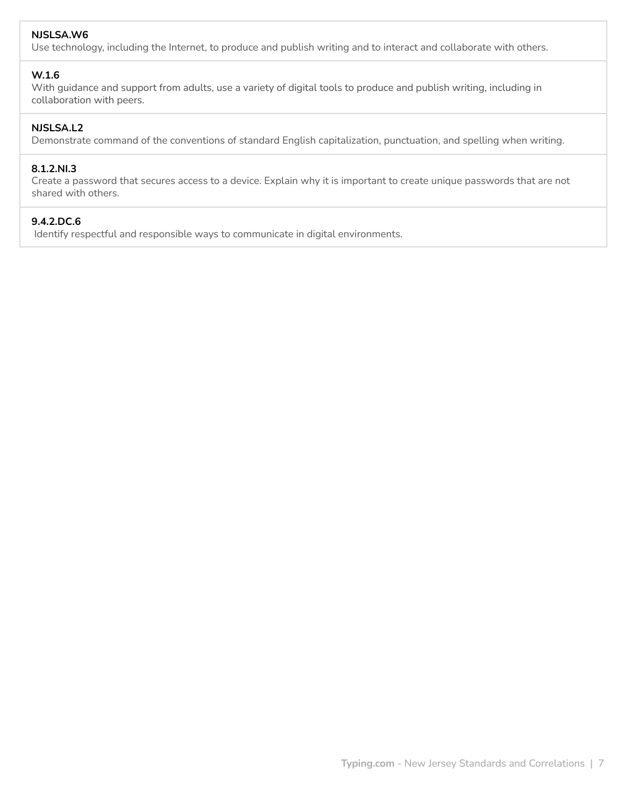## **NJSLSA.W6**

Use technology, including the Internet, to produce and publish writing and to interact and collaborate with others.

#### **W.1.6**

With guidance and support from adults, use a variety of digital tools to produce and publish writing, including in collaboration with peers.

#### **NJSLSA.L2**

Demonstrate command of the conventions of standard English capitalization, punctuation, and spelling when writing.

## **8.1.2.NI.3**

Create a password that secures access to a device. Explain why it is important to create unique passwords that are not shared with others.

## **9.4.2.DC.6**

Identify respectful and responsible ways to communicate in digital environments.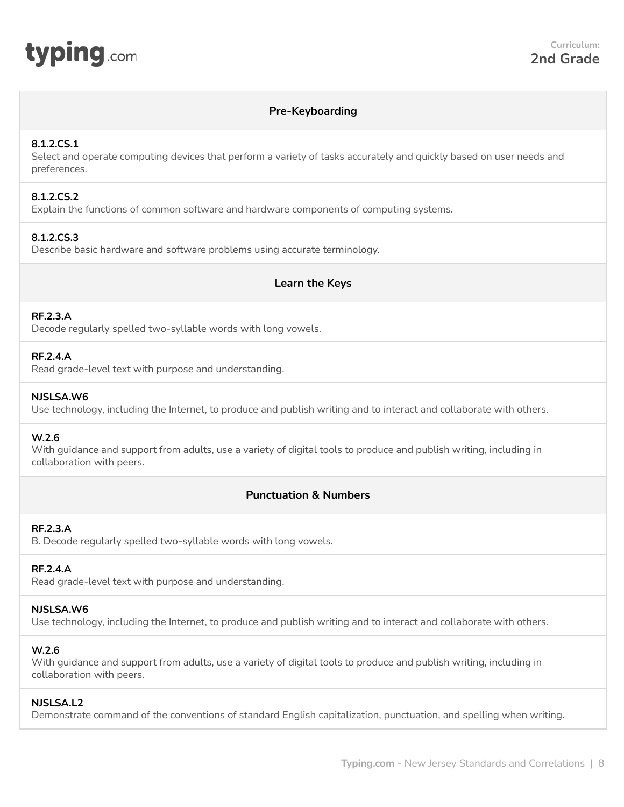<span id="page-7-0"></span>

# **Pre-Keyboarding**

#### **8.1.2.CS.1**

Select and operate computing devices that perform a variety of tasks accurately and quickly based on user needs and preferences.

#### **8.1.2.CS.2**

Explain the functions of common software and hardware components of computing systems.

#### **8.1.2.CS.3**

Describe basic hardware and software problems using accurate terminology.

## **Learn the Keys**

## **RF.2.3.A**

Decode regularly spelled two-syllable words with long vowels.

#### **RF.2.4.A**

Read grade-level text with purpose and understanding.

#### **NJSLSA.W6**

Use technology, including the Internet, to produce and publish writing and to interact and collaborate with others.

## **W.2.6**

With guidance and support from adults, use a variety of digital tools to produce and publish writing, including in collaboration with peers.

# **Punctuation & Numbers**

# **RF.2.3.A**

B. Decode regularly spelled two-syllable words with long vowels.

# **RF.2.4.A**

Read grade-level text with purpose and understanding.

#### **NJSLSA.W6**

Use technology, including the Internet, to produce and publish writing and to interact and collaborate with others.

## **W.2.6**

With guidance and support from adults, use a variety of digital tools to produce and publish writing, including in collaboration with peers.

#### **NJSLSA.L2**

Demonstrate command of the conventions of standard English capitalization, punctuation, and spelling when writing.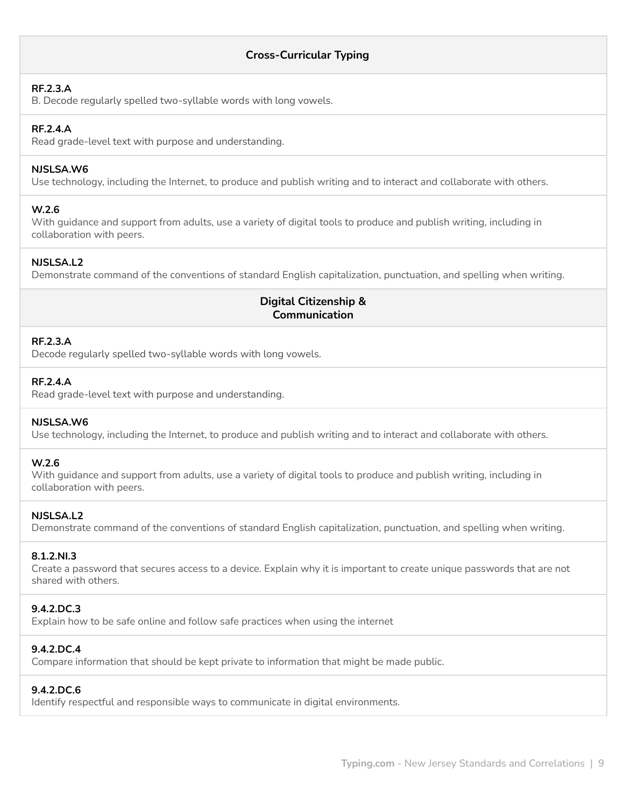# **Cross-Curricular Typing**

#### **RF.2.3.A**

B. Decode regularly spelled two-syllable words with long vowels.

## **RF.2.4.A**

Read grade-level text with purpose and understanding.

## **NJSLSA.W6**

Use technology, including the Internet, to produce and publish writing and to interact and collaborate with others.

## **W.2.6**

With guidance and support from adults, use a variety of digital tools to produce and publish writing, including in collaboration with peers.

## **NJSLSA.L2**

Demonstrate command of the conventions of standard English capitalization, punctuation, and spelling when writing.

# **Digital Citizenship & Communication**

## **RF.2.3.A**

Decode regularly spelled two-syllable words with long vowels.

## **RF.2.4.A**

Read grade-level text with purpose and understanding.

## **NJSLSA.W6**

Use technology, including the Internet, to produce and publish writing and to interact and collaborate with others.

#### **W.2.6**

With guidance and support from adults, use a variety of digital tools to produce and publish writing, including in collaboration with peers.

## **NJSLSA.L2**

Demonstrate command of the conventions of standard English capitalization, punctuation, and spelling when writing.

## **8.1.2.NI.3**

Create a password that secures access to a device. Explain why it is important to create unique passwords that are not shared with others.

## **9.4.2.DC.3**

Explain how to be safe online and follow safe practices when using the internet

## **9.4.2.DC.4**

Compare information that should be kept private to information that might be made public.

## **9.4.2.DC.6**

Identify respectful and responsible ways to communicate in digital environments.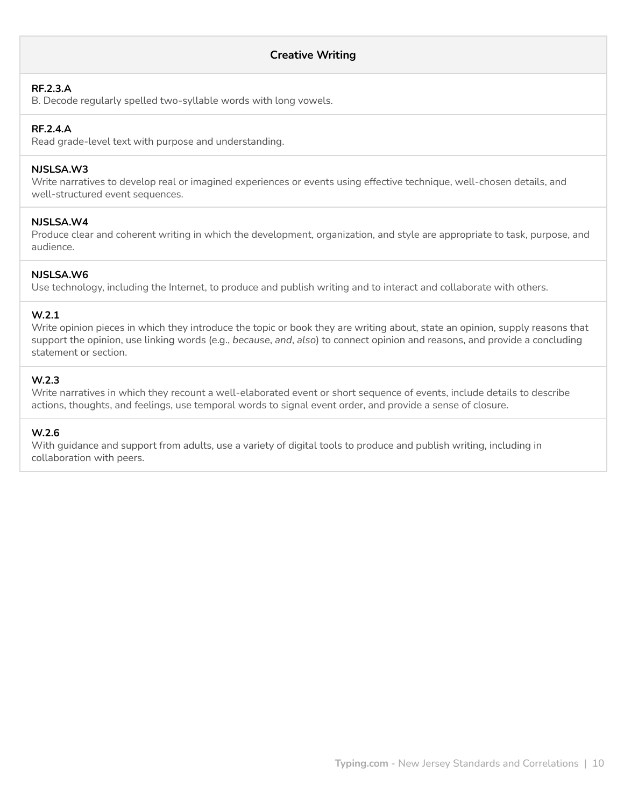## **Creative Writing**

#### **RF.2.3.A**

B. Decode regularly spelled two-syllable words with long vowels.

#### **RF.2.4.A**

Read grade-level text with purpose and understanding.

#### **NJSLSA.W3**

Write narratives to develop real or imagined experiences or events using effective technique, well-chosen details, and well-structured event sequences.

#### **NJSLSA.W4**

Produce clear and coherent writing in which the development, organization, and style are appropriate to task, purpose, and audience.

## **NJSLSA.W6**

Use technology, including the Internet, to produce and publish writing and to interact and collaborate with others.

#### **W.2.1**

Write opinion pieces in which they introduce the topic or book they are writing about, state an opinion, supply reasons that support the opinion, use linking words (e.g., *because*, *and*, *also*) to connect opinion and reasons, and provide a concluding statement or section.

#### **W.2.3**

Write narratives in which they recount a well-elaborated event or short sequence of events, include details to describe actions, thoughts, and feelings, use temporal words to signal event order, and provide a sense of closure.

#### **W.2.6**

With guidance and support from adults, use a variety of digital tools to produce and publish writing, including in collaboration with peers.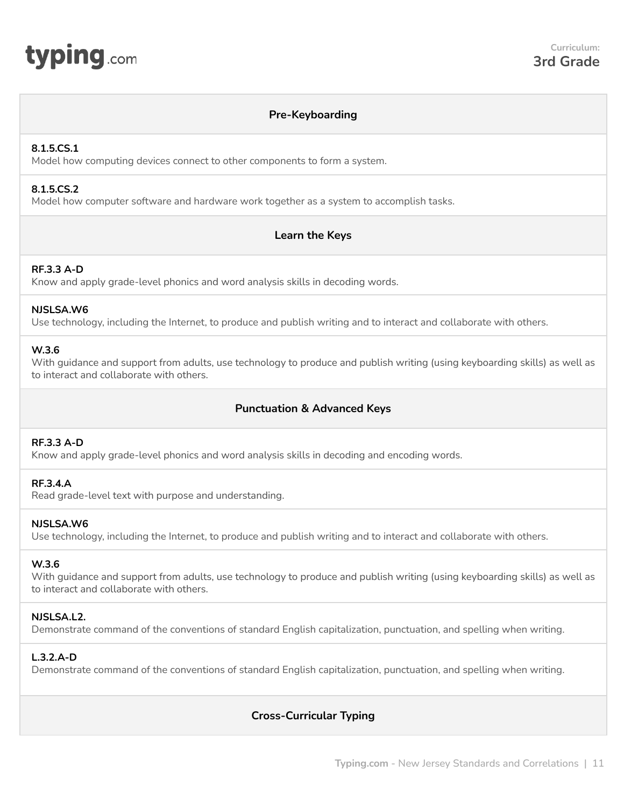<span id="page-10-0"></span>

## **Pre-Keyboarding**

## **8.1.5.CS.1**

Model how computing devices connect to other components to form a system.

#### **8.1.5.CS.2**

Model how computer software and hardware work together as a system to accomplish tasks.

# **Learn the Keys**

## **RF.3.3 A-D**

Know and apply grade-level phonics and word analysis skills in decoding words.

#### **NJSLSA.W6**

Use technology, including the Internet, to produce and publish writing and to interact and collaborate with others.

## **W.3.6**

With guidance and support from adults, use technology to produce and publish writing (using keyboarding skills) as well as to interact and collaborate with others.

# **Punctuation & Advanced Keys**

## **RF.3.3 A-D**

Know and apply grade-level phonics and word analysis skills in decoding and encoding words.

## **RF.3.4.A**

Read grade-level text with purpose and understanding.

## **NJSLSA.W6**

Use technology, including the Internet, to produce and publish writing and to interact and collaborate with others.

## **W.3.6**

With guidance and support from adults, use technology to produce and publish writing (using keyboarding skills) as well as to interact and collaborate with others.

## **NJSLSA.L2.**

Demonstrate command of the conventions of standard English capitalization, punctuation, and spelling when writing.

## **L.3.2.A-D**

Demonstrate command of the conventions of standard English capitalization, punctuation, and spelling when writing.

# **Cross-Curricular Typing**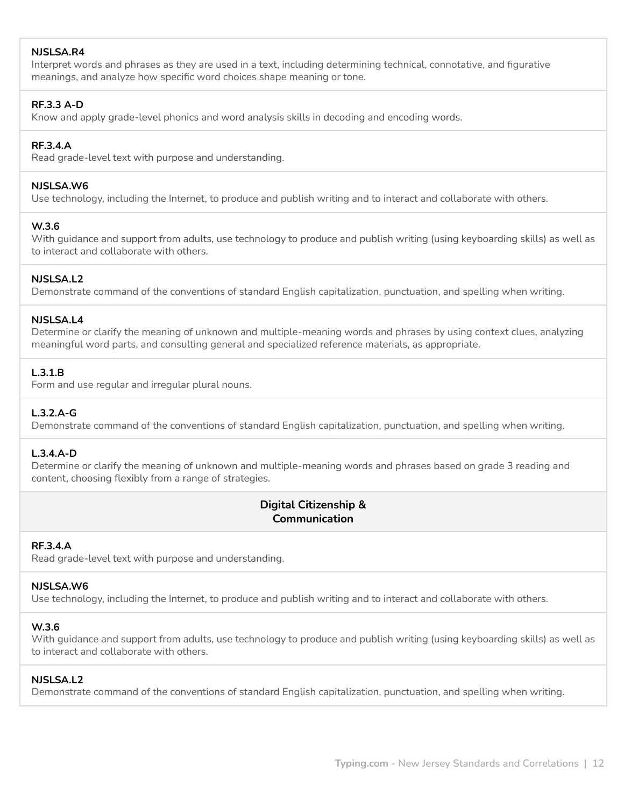## **NJSLSA.R4**

Interpret words and phrases as they are used in a text, including determining technical, connotative, and figurative meanings, and analyze how specific word choices shape meaning or tone.

#### **RF.3.3 A-D**

Know and apply grade-level phonics and word analysis skills in decoding and encoding words.

#### **RF.3.4.A**

Read grade-level text with purpose and understanding.

#### **NJSLSA.W6**

Use technology, including the Internet, to produce and publish writing and to interact and collaborate with others.

#### **W.3.6**

With guidance and support from adults, use technology to produce and publish writing (using keyboarding skills) as well as to interact and collaborate with others.

#### **NJSLSA.L2**

Demonstrate command of the conventions of standard English capitalization, punctuation, and spelling when writing.

#### **NJSLSA.L4**

Determine or clarify the meaning of unknown and multiple-meaning words and phrases by using context clues, analyzing meaningful word parts, and consulting general and specialized reference materials, as appropriate.

## **L.3.1.B**

Form and use regular and irregular plural nouns.

## **L.3.2.A-G**

Demonstrate command of the conventions of standard English capitalization, punctuation, and spelling when writing.

## **L.3.4.A-D**

Determine or clarify the meaning of unknown and multiple-meaning words and phrases based on grade 3 reading and content, choosing flexibly from a range of strategies.

# **Digital Citizenship & Communication**

## **RF.3.4.A**

Read grade-level text with purpose and understanding.

#### **NJSLSA.W6**

Use technology, including the Internet, to produce and publish writing and to interact and collaborate with others.

#### **W.3.6**

With guidance and support from adults, use technology to produce and publish writing (using keyboarding skills) as well as to interact and collaborate with others.

#### **NJSLSA.L2**

Demonstrate command of the conventions of standard English capitalization, punctuation, and spelling when writing.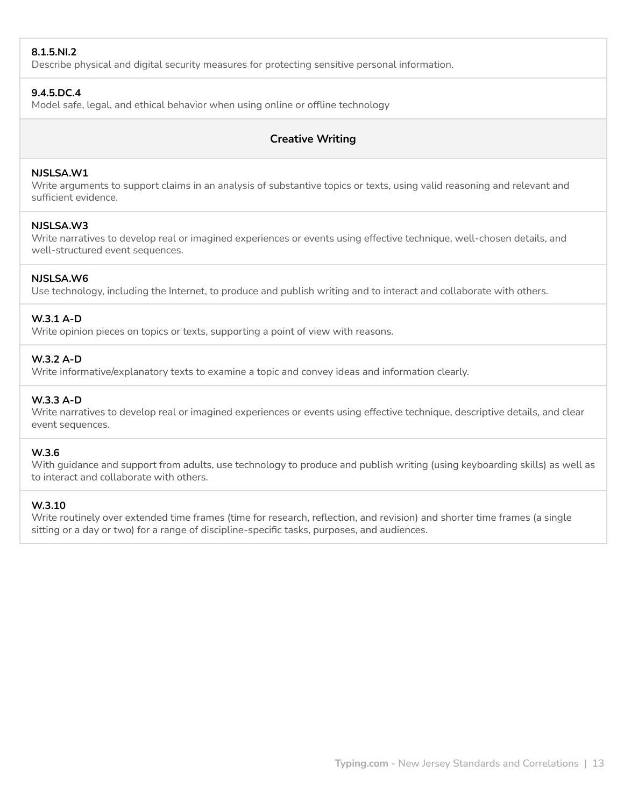## **8.1.5.NI.2**

Describe physical and digital security measures for protecting sensitive personal information.

#### **9.4.5.DC.4**

Model safe, legal, and ethical behavior when using online or offline technology

## **Creative Writing**

#### **NJSLSA.W1**

Write arguments to support claims in an analysis of substantive topics or texts, using valid reasoning and relevant and sufficient evidence.

#### **NJSLSA.W3**

Write narratives to develop real or imagined experiences or events using effective technique, well-chosen details, and well-structured event sequences.

#### **NJSLSA.W6**

Use technology, including the Internet, to produce and publish writing and to interact and collaborate with others.

## **W.3.1 A-D**

Write opinion pieces on topics or texts, supporting a point of view with reasons.

#### **W.3.2 A-D**

Write informative/explanatory texts to examine a topic and convey ideas and information clearly.

## **W.3.3 A-D**

Write narratives to develop real or imagined experiences or events using effective technique, descriptive details, and clear event sequences.

#### **W.3.6**

With guidance and support from adults, use technology to produce and publish writing (using keyboarding skills) as well as to interact and collaborate with others.

## **W.3.10**

Write routinely over extended time frames (time for research, reflection, and revision) and shorter time frames (a single sitting or a day or two) for a range of discipline-specific tasks, purposes, and audiences.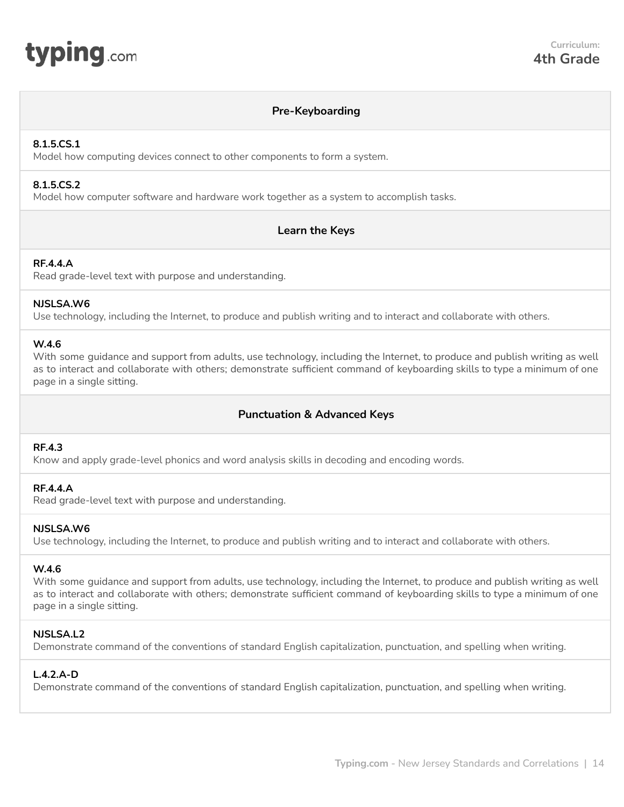<span id="page-13-0"></span>

## **Pre-Keyboarding**

#### **8.1.5.CS.1**

Model how computing devices connect to other components to form a system.

## **8.1.5.CS.2**

Model how computer software and hardware work together as a system to accomplish tasks.

## **Learn the Keys**

#### **RF.4.4.A**

Read grade-level text with purpose and understanding.

#### **NJSLSA.W6**

Use technology, including the Internet, to produce and publish writing and to interact and collaborate with others.

#### **W.4.6**

With some guidance and support from adults, use technology, including the Internet, to produce and publish writing as well as to interact and collaborate with others; demonstrate sufficient command of keyboarding skills to type a minimum of one page in a single sitting.

# **Punctuation & Advanced Keys**

#### **RF.4.3**

Know and apply grade-level phonics and word analysis skills in decoding and encoding words.

## **RF.4.4.A**

Read grade-level text with purpose and understanding.

#### **NJSLSA.W6**

Use technology, including the Internet, to produce and publish writing and to interact and collaborate with others.

#### **W.4.6**

With some guidance and support from adults, use technology, including the Internet, to produce and publish writing as well as to interact and collaborate with others; demonstrate sufficient command of keyboarding skills to type a minimum of one page in a single sitting.

#### **NJSLSA.L2**

Demonstrate command of the conventions of standard English capitalization, punctuation, and spelling when writing.

## **L.4.2.A-D**

Demonstrate command of the conventions of standard English capitalization, punctuation, and spelling when writing.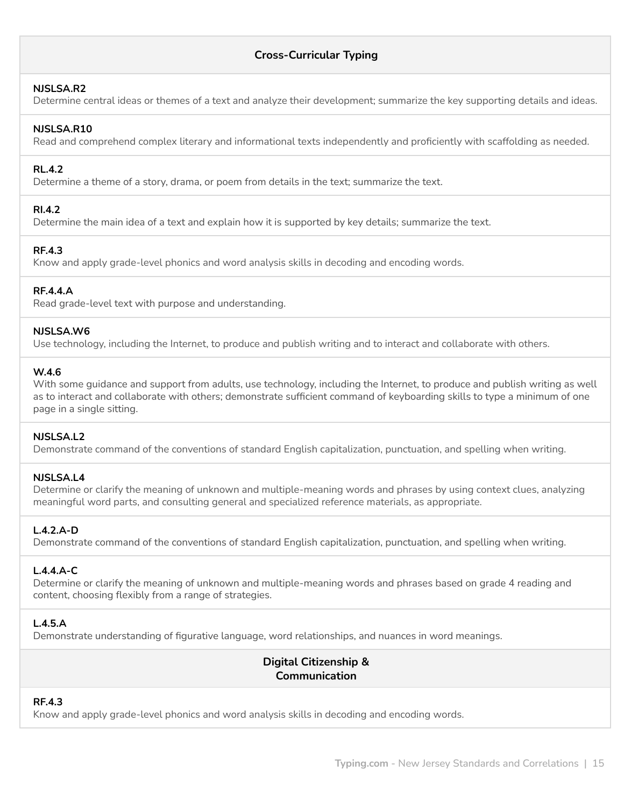# **Cross-Curricular Typing**

#### **NJSLSA.R2**

Determine central ideas or themes of a text and analyze their development; summarize the key supporting details and ideas.

## **NJSLSA.R10**

Read and comprehend complex literary and informational texts independently and proficiently with scaffolding as needed.

# **RL.4.2**

Determine a theme of a story, drama, or poem from details in the text; summarize the text.

## **RI.4.2**

Determine the main idea of a text and explain how it is supported by key details; summarize the text.

## **RF.4.3**

Know and apply grade-level phonics and word analysis skills in decoding and encoding words.

## **RF.4.4.A**

Read grade-level text with purpose and understanding.

#### **NJSLSA.W6**

Use technology, including the Internet, to produce and publish writing and to interact and collaborate with others.

## **W.4.6**

With some guidance and support from adults, use technology, including the Internet, to produce and publish writing as well as to interact and collaborate with others; demonstrate sufficient command of keyboarding skills to type a minimum of one page in a single sitting.

## **NJSLSA.L2**

Demonstrate command of the conventions of standard English capitalization, punctuation, and spelling when writing.

## **NJSLSA.L4**

Determine or clarify the meaning of unknown and multiple-meaning words and phrases by using context clues, analyzing meaningful word parts, and consulting general and specialized reference materials, as appropriate.

# **L.4.2.A-D**

Demonstrate command of the conventions of standard English capitalization, punctuation, and spelling when writing.

## **L.4.4.A-C**

Determine or clarify the meaning of unknown and multiple-meaning words and phrases based on grade 4 reading and content, choosing flexibly from a range of strategies.

## **L.4.5.A**

Demonstrate understanding of figurative language, word relationships, and nuances in word meanings.

# **Digital Citizenship & Communication**

## **RF.4.3**

Know and apply grade-level phonics and word analysis skills in decoding and encoding words.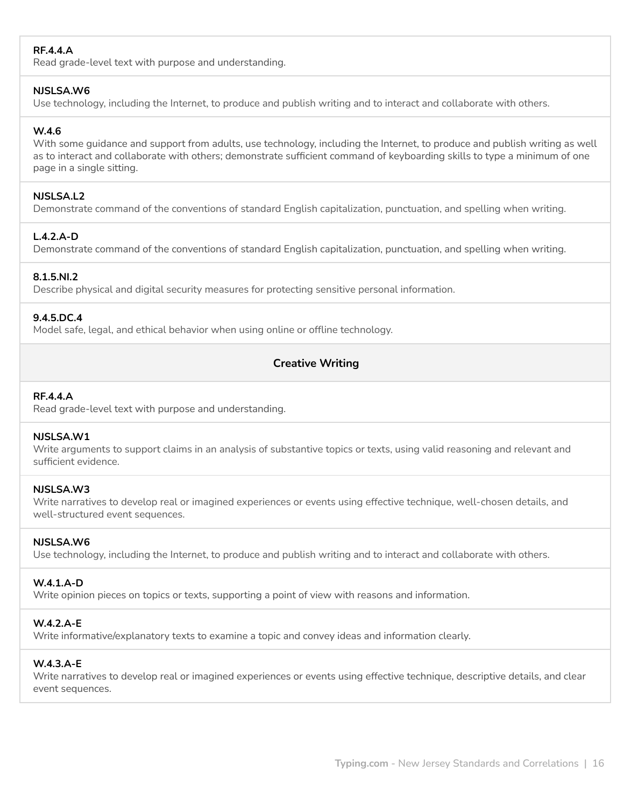# **RF.4.4.A**

Read grade-level text with purpose and understanding.

## **NJSLSA.W6**

Use technology, including the Internet, to produce and publish writing and to interact and collaborate with others.

# **W.4.6**

With some guidance and support from adults, use technology, including the Internet, to produce and publish writing as well as to interact and collaborate with others; demonstrate sufficient command of keyboarding skills to type a minimum of one page in a single sitting.

## **NJSLSA.L2**

Demonstrate command of the conventions of standard English capitalization, punctuation, and spelling when writing.

## **L.4.2.A-D**

Demonstrate command of the conventions of standard English capitalization, punctuation, and spelling when writing.

## **8.1.5.NI.2**

Describe physical and digital security measures for protecting sensitive personal information.

## **9.4.5.DC.4**

Model safe, legal, and ethical behavior when using online or offline technology.

# **Creative Writing**

## **RF.4.4.A**

Read grade-level text with purpose and understanding.

## **NJSLSA.W1**

Write arguments to support claims in an analysis of substantive topics or texts, using valid reasoning and relevant and sufficient evidence.

## **NJSLSA.W3**

Write narratives to develop real or imagined experiences or events using effective technique, well-chosen details, and well-structured event sequences.

## **NJSLSA.W6**

Use technology, including the Internet, to produce and publish writing and to interact and collaborate with others.

## **W.4.1.A-D**

Write opinion pieces on topics or texts, supporting a point of view with reasons and information.

## **W.4.2.A-E**

Write informative/explanatory texts to examine a topic and convey ideas and information clearly.

## **W.4.3.A-E**

Write narratives to develop real or imagined experiences or events using effective technique, descriptive details, and clear event sequences.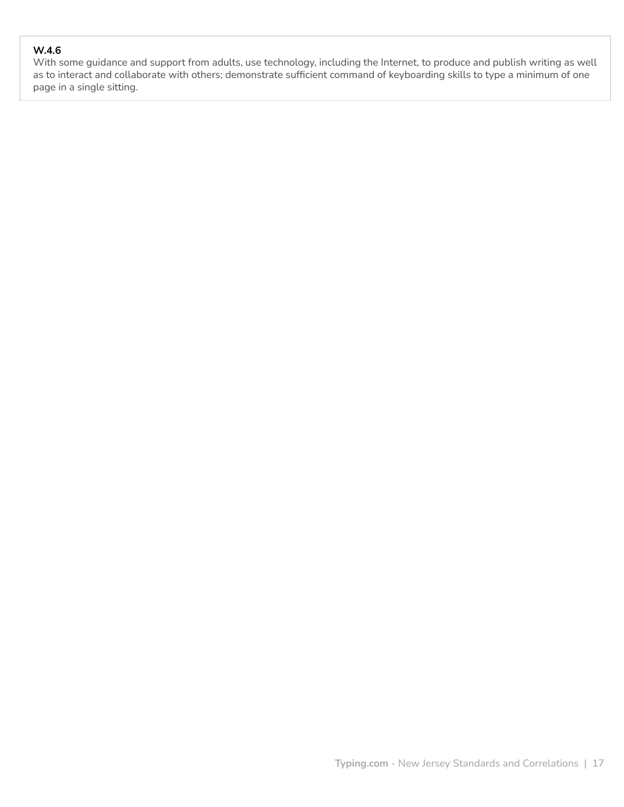# **W.4.6**

With some guidance and support from adults, use technology, including the Internet, to produce and publish writing as well as to interact and collaborate with others; demonstrate sufficient command of keyboarding skills to type a minimum of one page in a single sitting.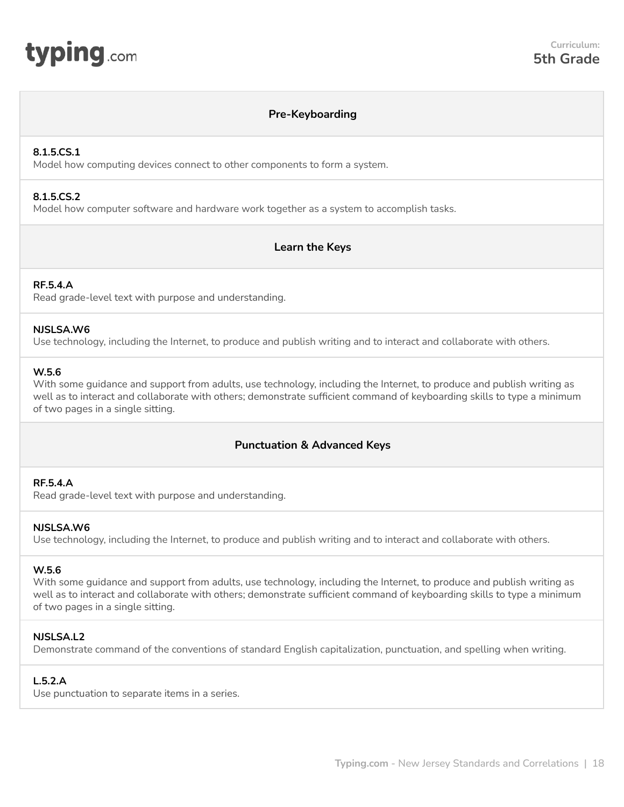<span id="page-17-0"></span>

## **Pre-Keyboarding**

#### **8.1.5.CS.1**

Model how computing devices connect to other components to form a system.

#### **8.1.5.CS.2**

Model how computer software and hardware work together as a system to accomplish tasks.

# **Learn the Keys**

## **RF.5.4.A**

Read grade-level text with purpose and understanding.

#### **NJSLSA.W6**

Use technology, including the Internet, to produce and publish writing and to interact and collaborate with others.

#### **W.5.6**

With some quidance and support from adults, use technology, including the Internet, to produce and publish writing as well as to interact and collaborate with others; demonstrate sufficient command of keyboarding skills to type a minimum of two pages in a single sitting.

# **Punctuation & Advanced Keys**

## **RF.5.4.A**

Read grade-level text with purpose and understanding.

## **NJSLSA.W6**

Use technology, including the Internet, to produce and publish writing and to interact and collaborate with others.

#### **W.5.6**

With some guidance and support from adults, use technology, including the Internet, to produce and publish writing as well as to interact and collaborate with others; demonstrate sufficient command of keyboarding skills to type a minimum of two pages in a single sitting.

## **NJSLSA.L2**

Demonstrate command of the conventions of standard English capitalization, punctuation, and spelling when writing.

## **L.5.2.A**

Use punctuation to separate items in a series.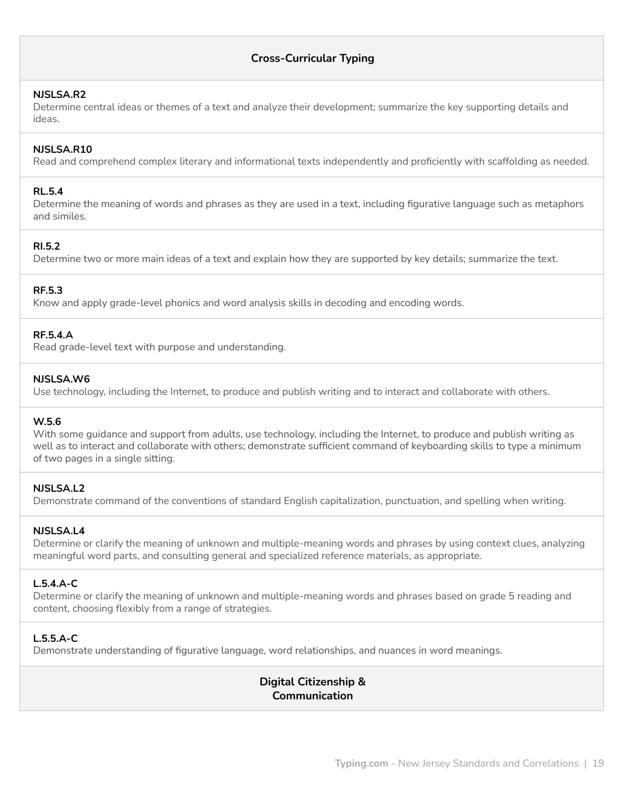# **Cross-Curricular Typing**

#### **NJSLSA.R2**

Determine central ideas or themes of a text and analyze their development; summarize the key supporting details and ideas**.**

#### **NJSLSA.R10**

Read and comprehend complex literary and informational texts independently and proficiently with scaffolding as needed.

#### **RL.5.4**

Determine the meaning of words and phrases as they are used in a text, including figurative language such as metaphors and similes.

#### **RI.5.2**

Determine two or more main ideas of a text and explain how they are supported by key details; summarize the text.

#### **RF.5.3**

Know and apply grade-level phonics and word analysis skills in decoding and encoding words.

#### **RF.5.4.A**

Read grade-level text with purpose and understanding.

#### **NJSLSA.W6**

Use technology, including the Internet, to produce and publish writing and to interact and collaborate with others.

## **W.5.6**

With some quidance and support from adults, use technology, including the Internet, to produce and publish writing as well as to interact and collaborate with others; demonstrate sufficient command of keyboarding skills to type a minimum of two pages in a single sitting.

#### **NJSLSA.L2**

Demonstrate command of the conventions of standard English capitalization, punctuation, and spelling when writing.

#### **NJSLSA.L4**

Determine or clarify the meaning of unknown and multiple-meaning words and phrases by using context clues, analyzing meaningful word parts, and consulting general and specialized reference materials, as appropriate.

#### **L.5.4.A-C**

Determine or clarify the meaning of unknown and multiple-meaning words and phrases based on grade 5 reading and content, choosing flexibly from a range of strategies.

#### **L.5.5.A-C**

Demonstrate understanding of figurative language, word relationships, and nuances in word meanings.

# **Digital Citizenship & Communication**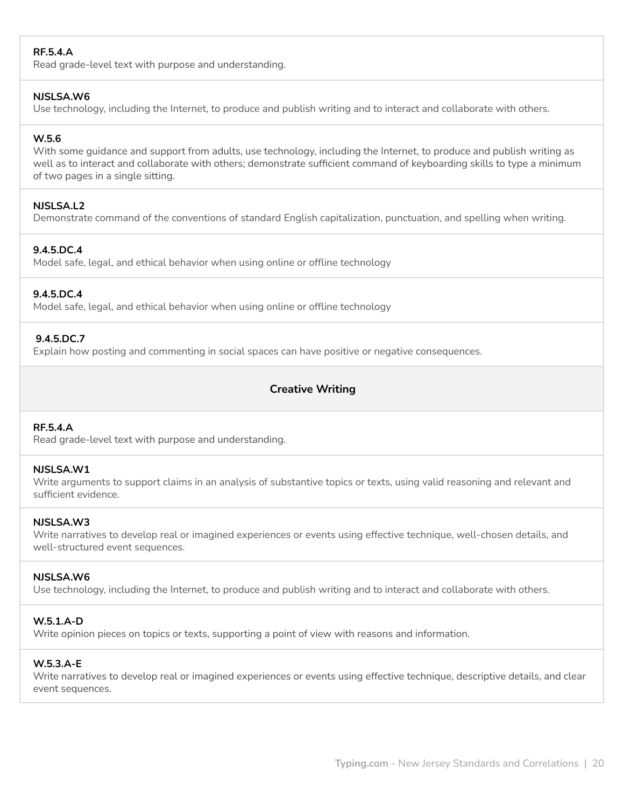## **RF.5.4.A**

Read grade-level text with purpose and understanding.

#### **NJSLSA.W6**

Use technology, including the Internet, to produce and publish writing and to interact and collaborate with others.

## **W.5.6**

With some guidance and support from adults, use technology, including the Internet, to produce and publish writing as well as to interact and collaborate with others; demonstrate sufficient command of keyboarding skills to type a minimum of two pages in a single sitting.

## **NJSLSA.L2**

Demonstrate command of the conventions of standard English capitalization, punctuation, and spelling when writing.

# **9.4.5.DC.4**

Model safe, legal, and ethical behavior when using online or offline technology

## **9.4.5.DC.4**

Model safe, legal, and ethical behavior when using online or offline technology

## **9.4.5.DC.7**

Explain how posting and commenting in social spaces can have positive or negative consequences.

# **Creative Writing**

## **RF.5.4.A**

Read grade-level text with purpose and understanding.

## **NJSLSA.W1**

Write arguments to support claims in an analysis of substantive topics or texts, using valid reasoning and relevant and sufficient evidence.

## **NJSLSA.W3**

Write narratives to develop real or imagined experiences or events using effective technique, well-chosen details, and well-structured event sequences.

## **NJSLSA.W6**

Use technology, including the Internet, to produce and publish writing and to interact and collaborate with others.

## **W.5.1.A-D**

Write opinion pieces on topics or texts, supporting a point of view with reasons and information.

## **W.5.3.A-E**

Write narratives to develop real or imagined experiences or events using effective technique, descriptive details, and clear event sequences.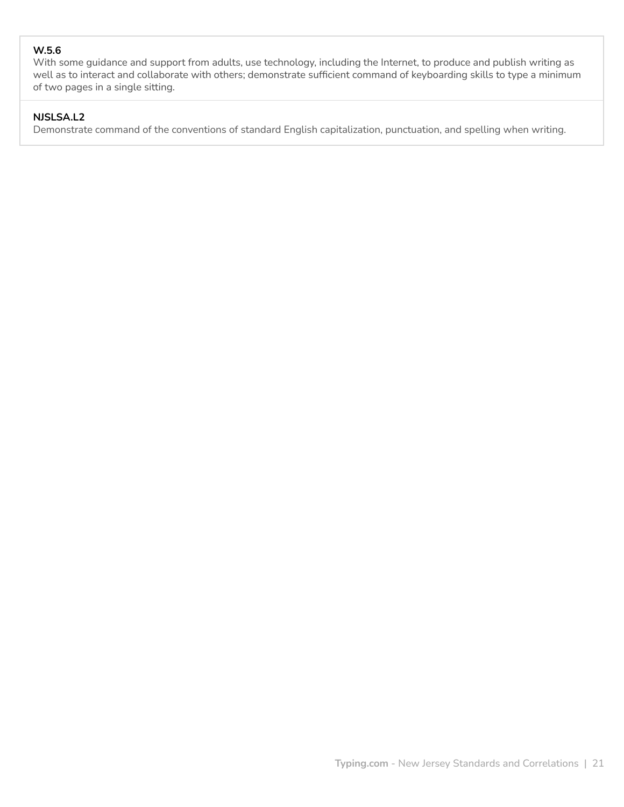# **W.5.6**

With some guidance and support from adults, use technology, including the Internet, to produce and publish writing as well as to interact and collaborate with others; demonstrate sufficient command of keyboarding skills to type a minimum of two pages in a single sitting.

# **NJSLSA.L2**

Demonstrate command of the conventions of standard English capitalization, punctuation, and spelling when writing.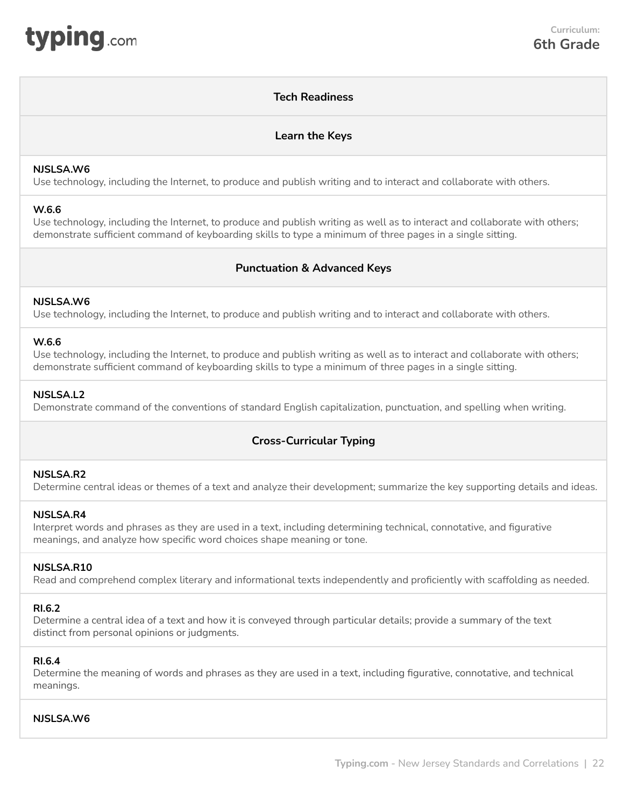# **Tech Readiness**

## **Learn the Keys**

#### <span id="page-21-0"></span>**NJSLSA.W6**

Use technology, including the Internet, to produce and publish writing and to interact and collaborate with others.

#### **W.6.6**

Use technology, including the Internet, to produce and publish writing as well as to interact and collaborate with others; demonstrate sufficient command of keyboarding skills to type a minimum of three pages in a single sitting.

# **Punctuation & Advanced Keys**

#### **NJSLSA.W6**

Use technology, including the Internet, to produce and publish writing and to interact and collaborate with others.

#### **W.6.6**

Use technology, including the Internet, to produce and publish writing as well as to interact and collaborate with others; demonstrate sufficient command of keyboarding skills to type a minimum of three pages in a single sitting.

#### **NJSLSA.L2**

Demonstrate command of the conventions of standard English capitalization, punctuation, and spelling when writing.

# **Cross-Curricular Typing**

#### **NJSLSA.R2**

Determine central ideas or themes of a text and analyze their development; summarize the key supporting details and ideas.

#### **NJSLSA.R4**

Interpret words and phrases as they are used in a text, including determining technical, connotative, and figurative meanings, and analyze how specific word choices shape meaning or tone.

#### **NJSLSA.R10**

Read and comprehend complex literary and informational texts independently and proficiently with scaffolding as needed.

#### **RI.6.2**

Determine a central idea of a text and how it is conveyed through particular details; provide a summary of the text distinct from personal opinions or judgments.

#### **RI.6.4**

Determine the meaning of words and phrases as they are used in a text, including figurative, connotative, and technical meanings.

#### **NJSLSA.W6**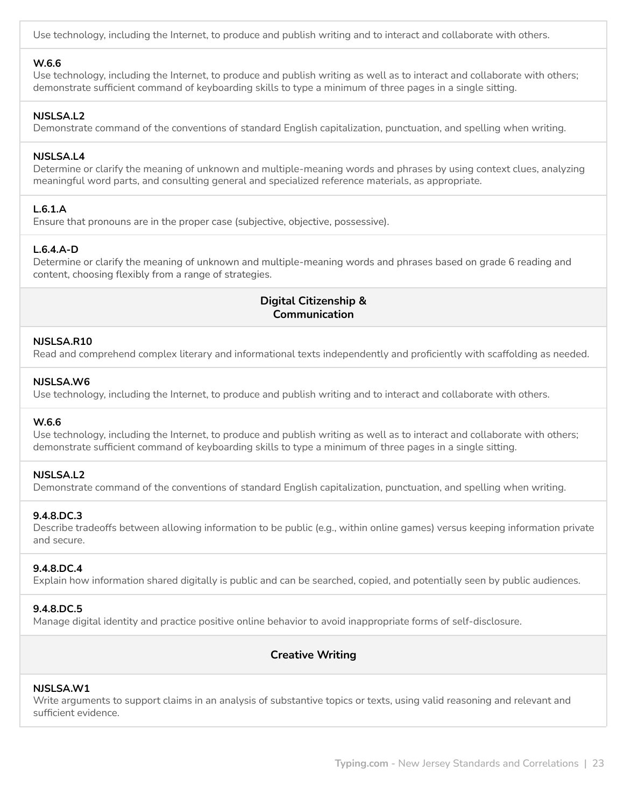Use technology, including the Internet, to produce and publish writing and to interact and collaborate with others.

#### **W.6.6**

Use technology, including the Internet, to produce and publish writing as well as to interact and collaborate with others; demonstrate sufficient command of keyboarding skills to type a minimum of three pages in a single sitting.

#### **NJSLSA.L2**

Demonstrate command of the conventions of standard English capitalization, punctuation, and spelling when writing.

#### **NJSLSA.L4**

Determine or clarify the meaning of unknown and multiple-meaning words and phrases by using context clues, analyzing meaningful word parts, and consulting general and specialized reference materials, as appropriate.

## **L.6.1.A**

Ensure that pronouns are in the proper case (subjective, objective, possessive).

## **L.6.4.A-D**

Determine or clarify the meaning of unknown and multiple-meaning words and phrases based on grade 6 reading and content, choosing flexibly from a range of strategies.

# **Digital Citizenship & Communication**

#### **NJSLSA.R10**

Read and comprehend complex literary and informational texts independently and proficiently with scaffolding as needed.

#### **NJSLSA.W6**

Use technology, including the Internet, to produce and publish writing and to interact and collaborate with others.

#### **W.6.6**

Use technology, including the Internet, to produce and publish writing as well as to interact and collaborate with others; demonstrate sufficient command of keyboarding skills to type a minimum of three pages in a single sitting.

#### **NJSLSA.L2**

Demonstrate command of the conventions of standard English capitalization, punctuation, and spelling when writing.

## **9.4.8.DC.3**

Describe tradeoffs between allowing information to be public (e.g., within online games) versus keeping information private and secure.

## **9.4.8.DC.4**

Explain how information shared digitally is public and can be searched, copied, and potentially seen by public audiences.

#### **9.4.8.DC.5**

Manage digital identity and practice positive online behavior to avoid inappropriate forms of self-disclosure.

# **Creative Writing**

#### **NJSLSA.W1**

Write arguments to support claims in an analysis of substantive topics or texts, using valid reasoning and relevant and sufficient evidence.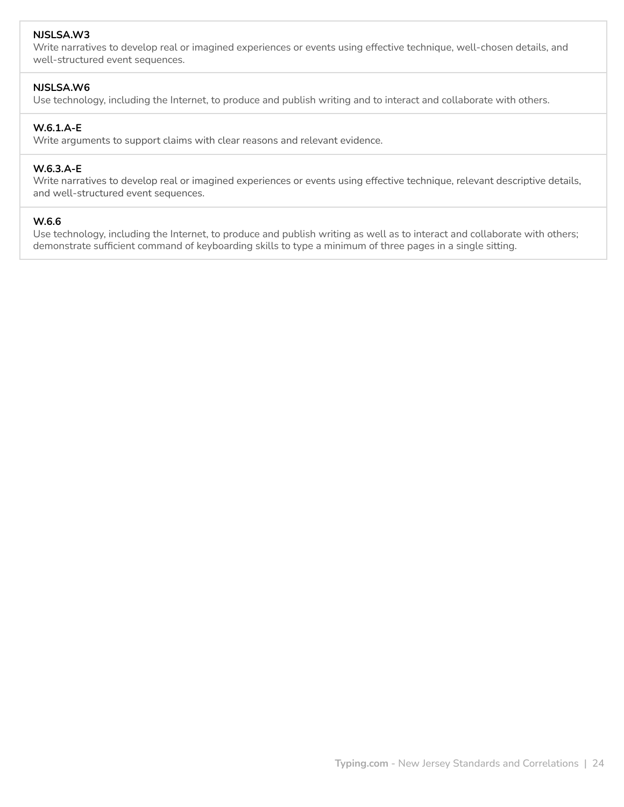## **NJSLSA.W3**

Write narratives to develop real or imagined experiences or events using effective technique, well-chosen details, and well-structured event sequences.

#### **NJSLSA.W6**

Use technology, including the Internet, to produce and publish writing and to interact and collaborate with others.

## **W.6.1.A-E**

Write arguments to support claims with clear reasons and relevant evidence.

#### **W.6.3.A-E**

Write narratives to develop real or imagined experiences or events using effective technique, relevant descriptive details, and well-structured event sequences.

#### **W.6.6**

Use technology, including the Internet, to produce and publish writing as well as to interact and collaborate with others; demonstrate sufficient command of keyboarding skills to type a minimum of three pages in a single sitting.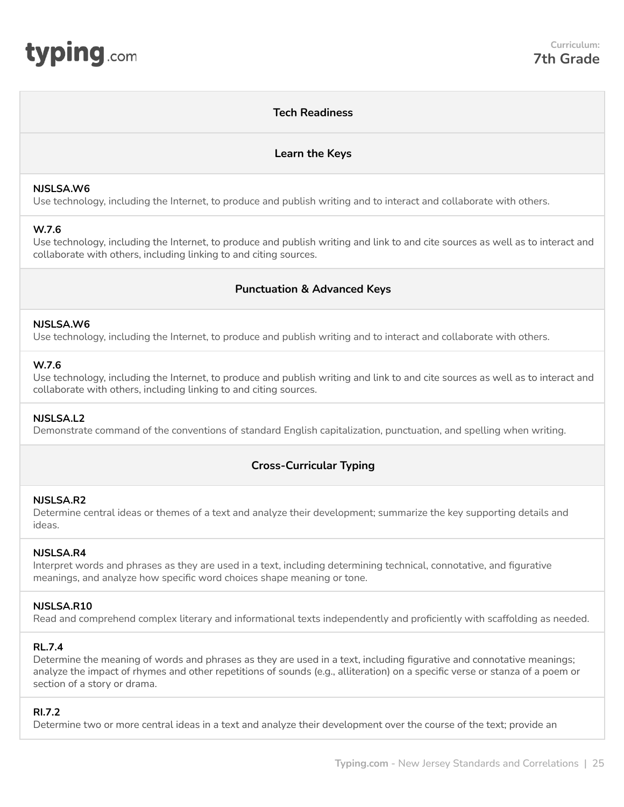# **Tech Readiness**

## **Learn the Keys**

#### <span id="page-24-0"></span>**NJSLSA.W6**

Use technology, including the Internet, to produce and publish writing and to interact and collaborate with others.

## **W.7.6**

Use technology, including the Internet, to produce and publish writing and link to and cite sources as well as to interact and collaborate with others, including linking to and citing sources.

## **Punctuation & Advanced Keys**

#### **NJSLSA.W6**

Use technology, including the Internet, to produce and publish writing and to interact and collaborate with others.

#### **W.7.6**

Use technology, including the Internet, to produce and publish writing and link to and cite sources as well as to interact and collaborate with others, including linking to and citing sources.

#### **NJSLSA.L2**

Demonstrate command of the conventions of standard English capitalization, punctuation, and spelling when writing.

# **Cross-Curricular Typing**

#### **NJSLSA.R2**

Determine central ideas or themes of a text and analyze their development; summarize the key supporting details and ideas.

## **NJSLSA.R4**

Interpret words and phrases as they are used in a text, including determining technical, connotative, and figurative meanings, and analyze how specific word choices shape meaning or tone.

## **NJSLSA.R10**

Read and comprehend complex literary and informational texts independently and proficiently with scaffolding as needed.

#### **RL.7.4**

Determine the meaning of words and phrases as they are used in a text, including figurative and connotative meanings; analyze the impact of rhymes and other repetitions of sounds (e.g., alliteration) on a specific verse or stanza of a poem or section of a story or drama.

## **RI.7.2**

Determine two or more central ideas in a text and analyze their development over the course of the text; provide an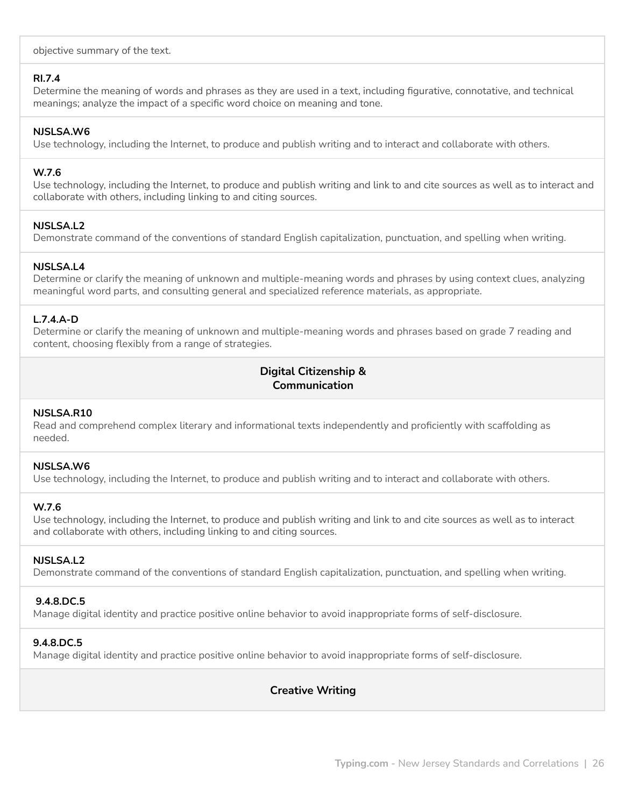objective summary of the text.

#### **RI.7.4**

Determine the meaning of words and phrases as they are used in a text, including figurative, connotative, and technical meanings; analyze the impact of a specific word choice on meaning and tone.

#### **NJSLSA.W6**

Use technology, including the Internet, to produce and publish writing and to interact and collaborate with others.

#### **W.7.6**

Use technology, including the Internet, to produce and publish writing and link to and cite sources as well as to interact and collaborate with others, including linking to and citing sources.

## **NJSLSA.L2**

Demonstrate command of the conventions of standard English capitalization, punctuation, and spelling when writing.

## **NJSLSA.L4**

Determine or clarify the meaning of unknown and multiple-meaning words and phrases by using context clues, analyzing meaningful word parts, and consulting general and specialized reference materials, as appropriate.

## **L.7.4.A-D**

Determine or clarify the meaning of unknown and multiple-meaning words and phrases based on grade 7 reading and content, choosing flexibly from a range of strategies.

# **Digital Citizenship & Communication**

#### **NJSLSA.R10**

Read and comprehend complex literary and informational texts independently and proficiently with scaffolding as needed.

#### **NJSLSA.W6**

Use technology, including the Internet, to produce and publish writing and to interact and collaborate with others.

## **W.7.6**

Use technology, including the Internet, to produce and publish writing and link to and cite sources as well as to interact and collaborate with others, including linking to and citing sources.

## **NJSLSA.L2**

Demonstrate command of the conventions of standard English capitalization, punctuation, and spelling when writing.

#### **9.4.8.DC.5**

Manage digital identity and practice positive online behavior to avoid inappropriate forms of self-disclosure.

#### **9.4.8.DC.5**

Manage digital identity and practice positive online behavior to avoid inappropriate forms of self-disclosure.

# **Creative Writing**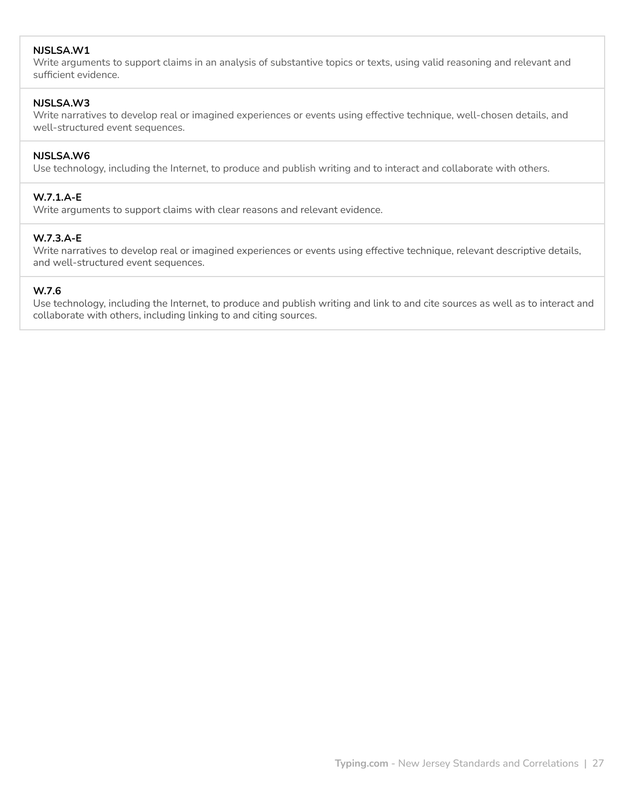## **NJSLSA.W1**

Write arguments to support claims in an analysis of substantive topics or texts, using valid reasoning and relevant and sufficient evidence.

#### **NJSLSA.W3**

Write narratives to develop real or imagined experiences or events using effective technique, well-chosen details, and well-structured event sequences.

#### **NJSLSA.W6**

Use technology, including the Internet, to produce and publish writing and to interact and collaborate with others.

#### **W.7.1.A-E**

Write arguments to support claims with clear reasons and relevant evidence.

#### **W.7.3.A-E**

Write narratives to develop real or imagined experiences or events using effective technique, relevant descriptive details, and well-structured event sequences.

# **W.7.6**

Use technology, including the Internet, to produce and publish writing and link to and cite sources as well as to interact and collaborate with others, including linking to and citing sources.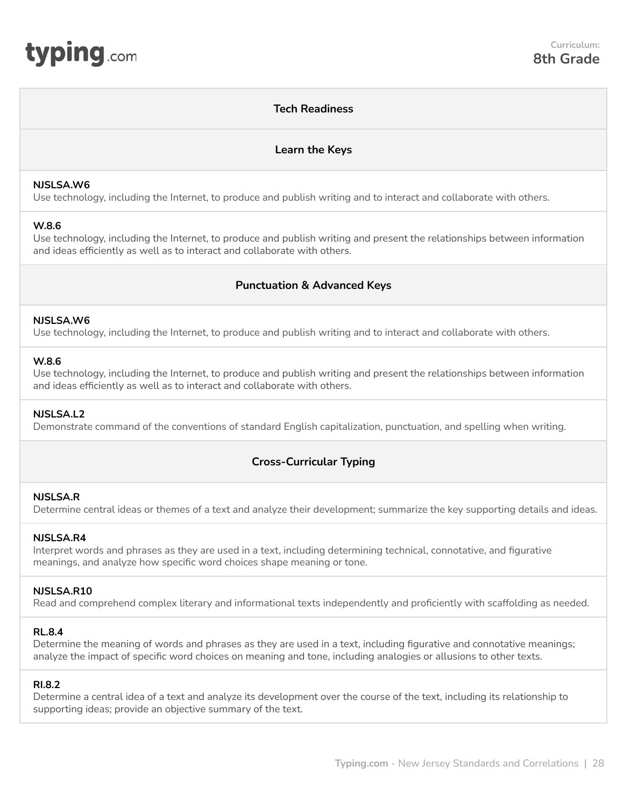## **Tech Readiness**

## **Learn the Keys**

#### <span id="page-27-0"></span>**NJSLSA.W6**

Use technology, including the Internet, to produce and publish writing and to interact and collaborate with others.

#### **W.8.6**

Use technology, including the Internet, to produce and publish writing and present the relationships between information and ideas efficiently as well as to interact and collaborate with others.

# **Punctuation & Advanced Keys**

#### **NJSLSA.W6**

Use technology, including the Internet, to produce and publish writing and to interact and collaborate with others.

#### **W.8.6**

Use technology, including the Internet, to produce and publish writing and present the relationships between information and ideas efficiently as well as to interact and collaborate with others.

## **NJSLSA.L2**

Demonstrate command of the conventions of standard English capitalization, punctuation, and spelling when writing.

# **Cross-Curricular Typing**

#### **NJSLSA.R**

Determine central ideas or themes of a text and analyze their development; summarize the key supporting details and ideas.

## **NJSLSA.R4**

Interpret words and phrases as they are used in a text, including determining technical, connotative, and figurative meanings, and analyze how specific word choices shape meaning or tone.

## **NJSLSA.R10**

Read and comprehend complex literary and informational texts independently and proficiently with scaffolding as needed.

#### **RL.8.4**

Determine the meaning of words and phrases as they are used in a text, including figurative and connotative meanings; analyze the impact of specific word choices on meaning and tone, including analogies or allusions to other texts.

## **RI.8.2**

Determine a central idea of a text and analyze its development over the course of the text, including its relationship to supporting ideas; provide an objective summary of the text.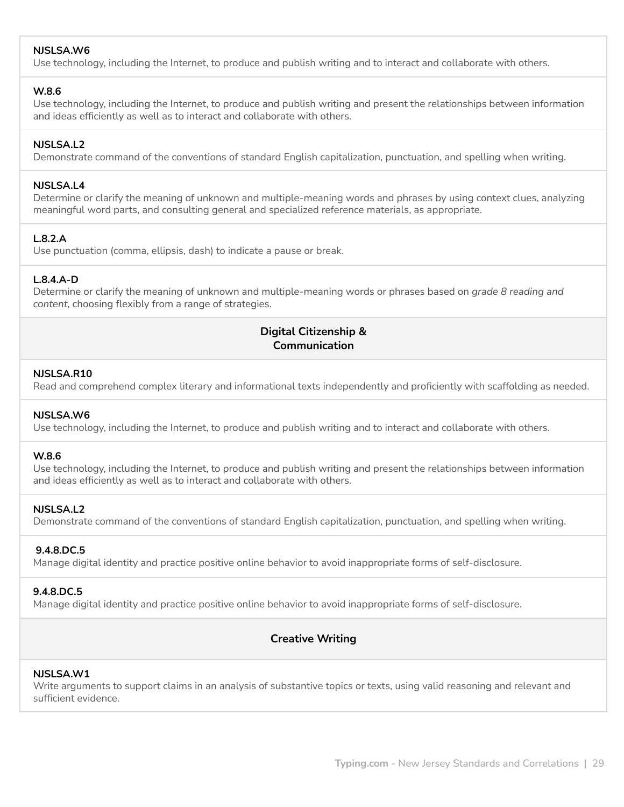## **NJSLSA.W6**

Use technology, including the Internet, to produce and publish writing and to interact and collaborate with others.

#### **W.8.6**

Use technology, including the Internet, to produce and publish writing and present the relationships between information and ideas efficiently as well as to interact and collaborate with others.

## **NJSLSA.L2**

Demonstrate command of the conventions of standard English capitalization, punctuation, and spelling when writing.

#### **NJSLSA.L4**

Determine or clarify the meaning of unknown and multiple-meaning words and phrases by using context clues, analyzing meaningful word parts, and consulting general and specialized reference materials, as appropriate.

## **L.8.2.A**

Use punctuation (comma, ellipsis, dash) to indicate a pause or break.

#### **L.8.4.A-D**

Determine or clarify the meaning of unknown and multiple-meaning words or phrases based on *grade 8 reading and content*, choosing flexibly from a range of strategies.

# **Digital Citizenship & Communication**

#### **NJSLSA.R10**

Read and comprehend complex literary and informational texts independently and proficiently with scaffolding as needed.

#### **NJSLSA.W6**

Use technology, including the Internet, to produce and publish writing and to interact and collaborate with others.

#### **W.8.6**

Use technology, including the Internet, to produce and publish writing and present the relationships between information and ideas efficiently as well as to interact and collaborate with others.

## **NJSLSA.L2**

Demonstrate command of the conventions of standard English capitalization, punctuation, and spelling when writing.

#### **9.4.8.DC.5**

Manage digital identity and practice positive online behavior to avoid inappropriate forms of self-disclosure.

#### **9.4.8.DC.5**

Manage digital identity and practice positive online behavior to avoid inappropriate forms of self-disclosure.

# **Creative Writing**

#### **NJSLSA.W1**

Write arguments to support claims in an analysis of substantive topics or texts, using valid reasoning and relevant and sufficient evidence.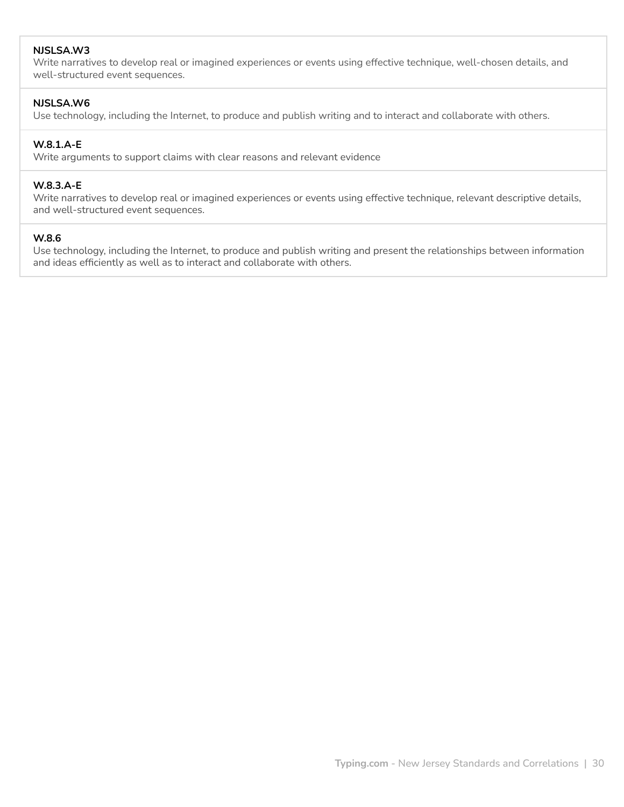## **NJSLSA.W3**

Write narratives to develop real or imagined experiences or events using effective technique, well-chosen details, and well-structured event sequences.

## **NJSLSA.W6**

Use technology, including the Internet, to produce and publish writing and to interact and collaborate with others.

#### **W.8.1.A-E**

Write arguments to support claims with clear reasons and relevant evidence

## **W.8.3.A-E**

Write narratives to develop real or imagined experiences or events using effective technique, relevant descriptive details, and well-structured event sequences.

#### **W.8.6**

Use technology, including the Internet, to produce and publish writing and present the relationships between information and ideas efficiently as well as to interact and collaborate with others.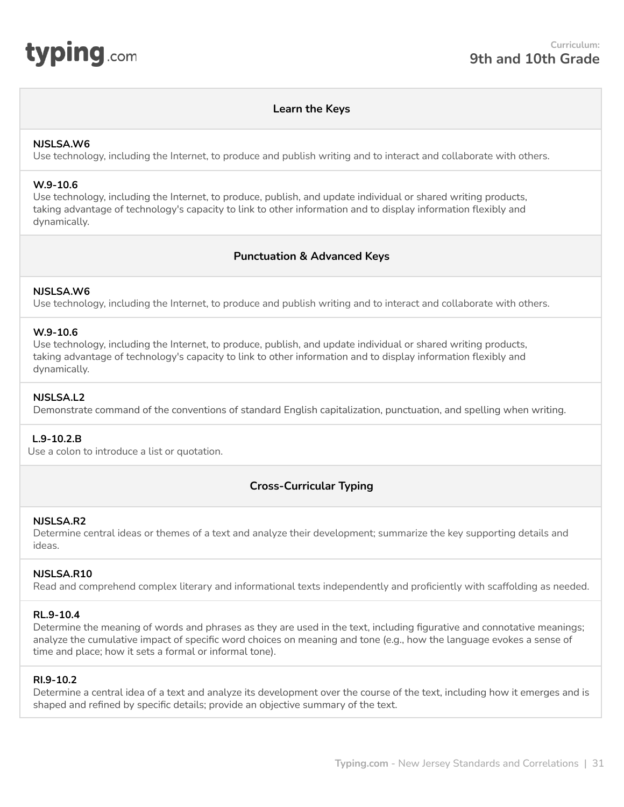<span id="page-30-0"></span>

#### **Learn the Keys**

#### **NJSLSA.W6**

Use technology, including the Internet, to produce and publish writing and to interact and collaborate with others.

#### **W.9-10.6**

Use technology, including the Internet, to produce, publish, and update individual or shared writing products, taking advantage of technology's capacity to link to other information and to display information flexibly and dynamically.

## **Punctuation & Advanced Keys**

## **NJSLSA.W6**

Use technology, including the Internet, to produce and publish writing and to interact and collaborate with others.

#### **W.9-10.6**

Use technology, including the Internet, to produce, publish, and update individual or shared writing products, taking advantage of technology's capacity to link to other information and to display information flexibly and dynamically.

#### **NJSLSA.L2**

Demonstrate command of the conventions of standard English capitalization, punctuation, and spelling when writing.

#### **L.9-10.2.B**

Use a colon to introduce a list or quotation.

# **Cross-Curricular Typing**

#### **NJSLSA.R2**

Determine central ideas or themes of a text and analyze their development; summarize the key supporting details and ideas.

## **NJSLSA.R10**

Read and comprehend complex literary and informational texts independently and proficiently with scaffolding as needed.

#### **RL.9-10.4**

Determine the meaning of words and phrases as they are used in the text, including figurative and connotative meanings; analyze the cumulative impact of specific word choices on meaning and tone (e.g., how the language evokes a sense of time and place; how it sets a formal or informal tone).

#### **RI.9-10.2**

Determine a central idea of a text and analyze its development over the course of the text, including how it emerges and is shaped and refined by specific details; provide an objective summary of the text.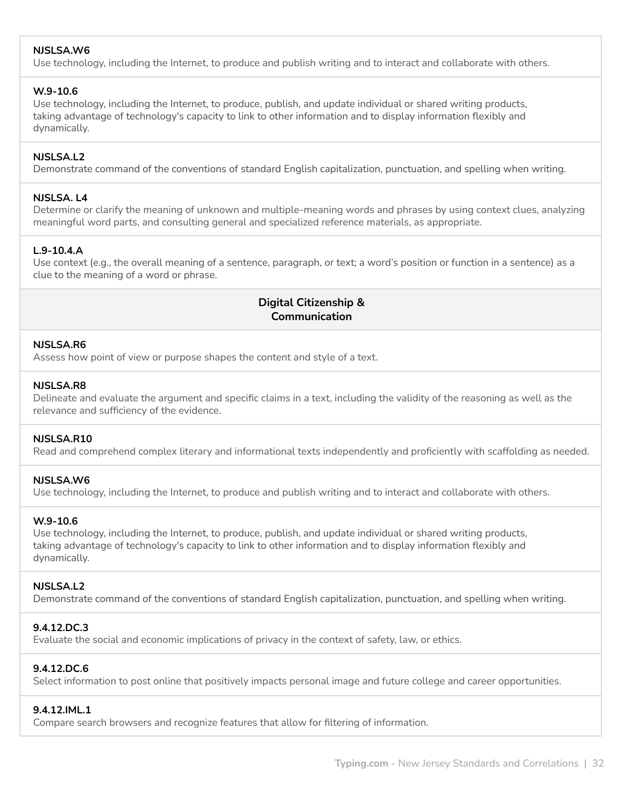# **NJSLSA.W6**

Use technology, including the Internet, to produce and publish writing and to interact and collaborate with others.

#### **W.9-10.6**

Use technology, including the Internet, to produce, publish, and update individual or shared writing products, taking advantage of technology's capacity to link to other information and to display information flexibly and dynamically.

## **NJSLSA.L2**

Demonstrate command of the conventions of standard English capitalization, punctuation, and spelling when writing.

#### **NJSLSA. L4**

Determine or clarify the meaning of unknown and multiple-meaning words and phrases by using context clues, analyzing meaningful word parts, and consulting general and specialized reference materials, as appropriate.

## **L.9-10.4.A**

Use context (e.g., the overall meaning of a sentence, paragraph, or text; a word's position or function in a sentence) as a clue to the meaning of a word or phrase.

# **Digital Citizenship & Communication**

#### **NJSLSA.R6**

Assess how point of view or purpose shapes the content and style of a text.

#### **NJSLSA.R8**

Delineate and evaluate the argument and specific claims in a text, including the validity of the reasoning as well as the relevance and sufficiency of the evidence.

## **NJSLSA.R10**

Read and comprehend complex literary and informational texts independently and proficiently with scaffolding as needed.

## **NJSLSA.W6**

Use technology, including the Internet, to produce and publish writing and to interact and collaborate with others.

#### **W.9-10.6**

Use technology, including the Internet, to produce, publish, and update individual or shared writing products, taking advantage of technology's capacity to link to other information and to display information flexibly and dynamically.

## **NJSLSA.L2**

Demonstrate command of the conventions of standard English capitalization, punctuation, and spelling when writing.

# **9.4.12.DC.3**

Evaluate the social and economic implications of privacy in the context of safety, law, or ethics.

## **9.4.12.DC.6**

Select information to post online that positively impacts personal image and future college and career opportunities.

#### **9.4.12.IML.1**

Compare search browsers and recognize features that allow for filtering of information.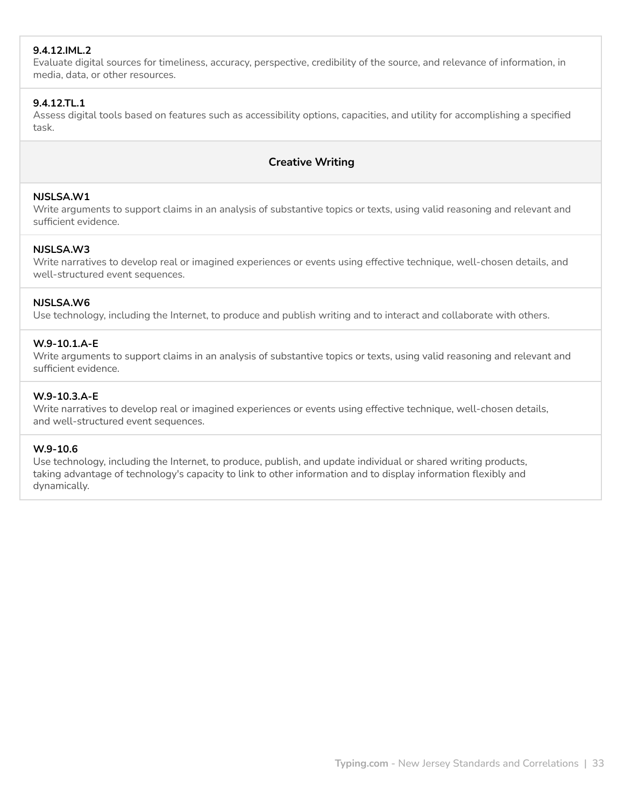# **9.4.12.IML.2**

Evaluate digital sources for timeliness, accuracy, perspective, credibility of the source, and relevance of information, in media, data, or other resources.

## **9.4.12.TL.1**

Assess digital tools based on features such as accessibility options, capacities, and utility for accomplishing a specified task.

# **Creative Writing**

## **NJSLSA.W1**

Write arguments to support claims in an analysis of substantive topics or texts, using valid reasoning and relevant and sufficient evidence.

## **NJSLSA.W3**

Write narratives to develop real or imagined experiences or events using effective technique, well-chosen details, and well-structured event sequences.

## **NJSLSA.W6**

Use technology, including the Internet, to produce and publish writing and to interact and collaborate with others.

#### **W.9-10.1.A-E**

Write arguments to support claims in an analysis of substantive topics or texts, using valid reasoning and relevant and sufficient evidence.

## **W.9-10.3.A-E**

Write narratives to develop real or imagined experiences or events using effective technique, well-chosen details, and well-structured event sequences.

#### **W.9-10.6**

Use technology, including the Internet, to produce, publish, and update individual or shared writing products, taking advantage of technology's capacity to link to other information and to display information flexibly and dynamically.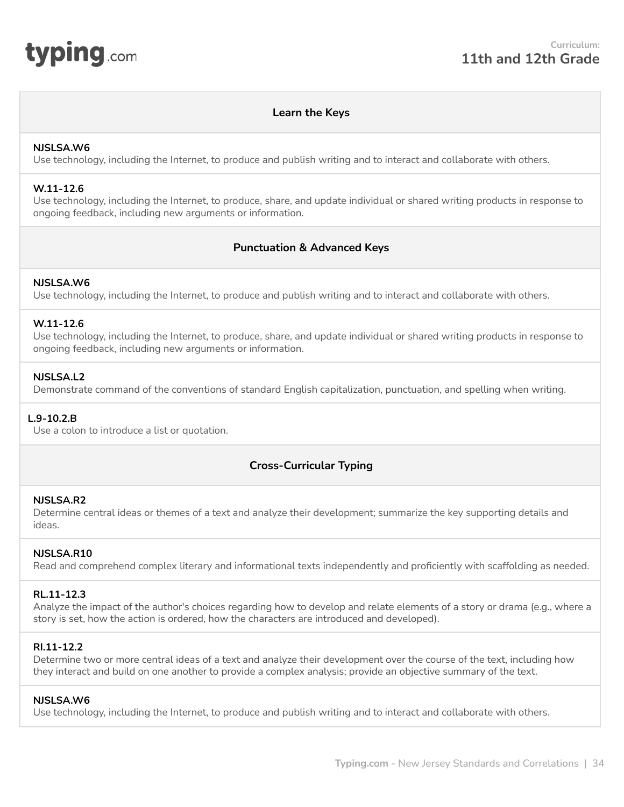<span id="page-33-0"></span>

## **Learn the Keys**

#### **NJSLSA.W6**

Use technology, including the Internet, to produce and publish writing and to interact and collaborate with others.

#### **W.11-12.6**

Use technology, including the Internet, to produce, share, and update individual or shared writing products in response to ongoing feedback, including new arguments or information.

## **Punctuation & Advanced Keys**

#### **NJSLSA.W6**

Use technology, including the Internet, to produce and publish writing and to interact and collaborate with others.

#### **W.11-12.6**

Use technology, including the Internet, to produce, share, and update individual or shared writing products in response to ongoing feedback, including new arguments or information.

#### **NJSLSA.L2**

Demonstrate command of the conventions of standard English capitalization, punctuation, and spelling when writing.

#### **L.9-10.2.B**

Use a colon to introduce a list or quotation.

# **Cross-Curricular Typing**

#### **NJSLSA.R2**

Determine central ideas or themes of a text and analyze their development; summarize the key supporting details and ideas.

#### **NJSLSA.R10**

Read and comprehend complex literary and informational texts independently and proficiently with scaffolding as needed.

#### **RL.11-12.3**

Analyze the impact of the author's choices regarding how to develop and relate elements of a story or drama (e.g., where a story is set, how the action is ordered, how the characters are introduced and developed).

#### **RI.11-12.2**

Determine two or more central ideas of a text and analyze their development over the course of the text, including how they interact and build on one another to provide a complex analysis; provide an objective summary of the text.

#### **NJSLSA.W6**

Use technology, including the Internet, to produce and publish writing and to interact and collaborate with others.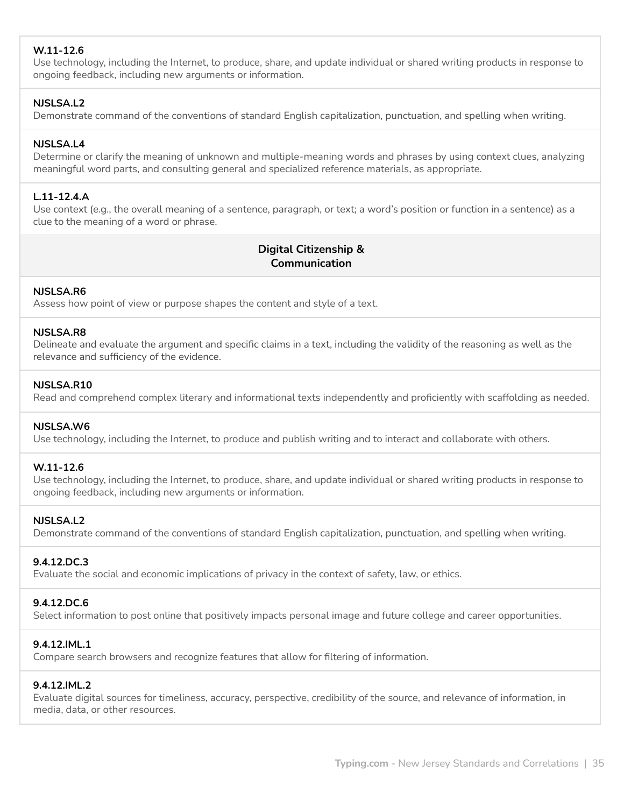# **W.11-12.6**

Use technology, including the Internet, to produce, share, and update individual or shared writing products in response to ongoing feedback, including new arguments or information.

# **NJSLSA.L2**

Demonstrate command of the conventions of standard English capitalization, punctuation, and spelling when writing.

## **NJSLSA.L4**

Determine or clarify the meaning of unknown and multiple-meaning words and phrases by using context clues, analyzing meaningful word parts, and consulting general and specialized reference materials, as appropriate.

## **L.11-12.4.A**

Use context (e.g., the overall meaning of a sentence, paragraph, or text; a word's position or function in a sentence) as a clue to the meaning of a word or phrase.

# **Digital Citizenship & Communication**

## **NJSLSA.R6**

Assess how point of view or purpose shapes the content and style of a text.

#### **NJSLSA.R8**

Delineate and evaluate the argument and specific claims in a text, including the validity of the reasoning as well as the relevance and sufficiency of the evidence.

## **NJSLSA.R10**

Read and comprehend complex literary and informational texts independently and proficiently with scaffolding as needed.

## **NJSLSA.W6**

Use technology, including the Internet, to produce and publish writing and to interact and collaborate with others.

## **W.11-12.6**

Use technology, including the Internet, to produce, share, and update individual or shared writing products in response to ongoing feedback, including new arguments or information.

## **NJSLSA.L2**

Demonstrate command of the conventions of standard English capitalization, punctuation, and spelling when writing.

## **9.4.12.DC.3**

Evaluate the social and economic implications of privacy in the context of safety, law, or ethics.

## **9.4.12.DC.6**

Select information to post online that positively impacts personal image and future college and career opportunities.

## **9.4.12.IML.1**

Compare search browsers and recognize features that allow for filtering of information.

#### **9.4.12.IML.2**

Evaluate digital sources for timeliness, accuracy, perspective, credibility of the source, and relevance of information, in media, data, or other resources.